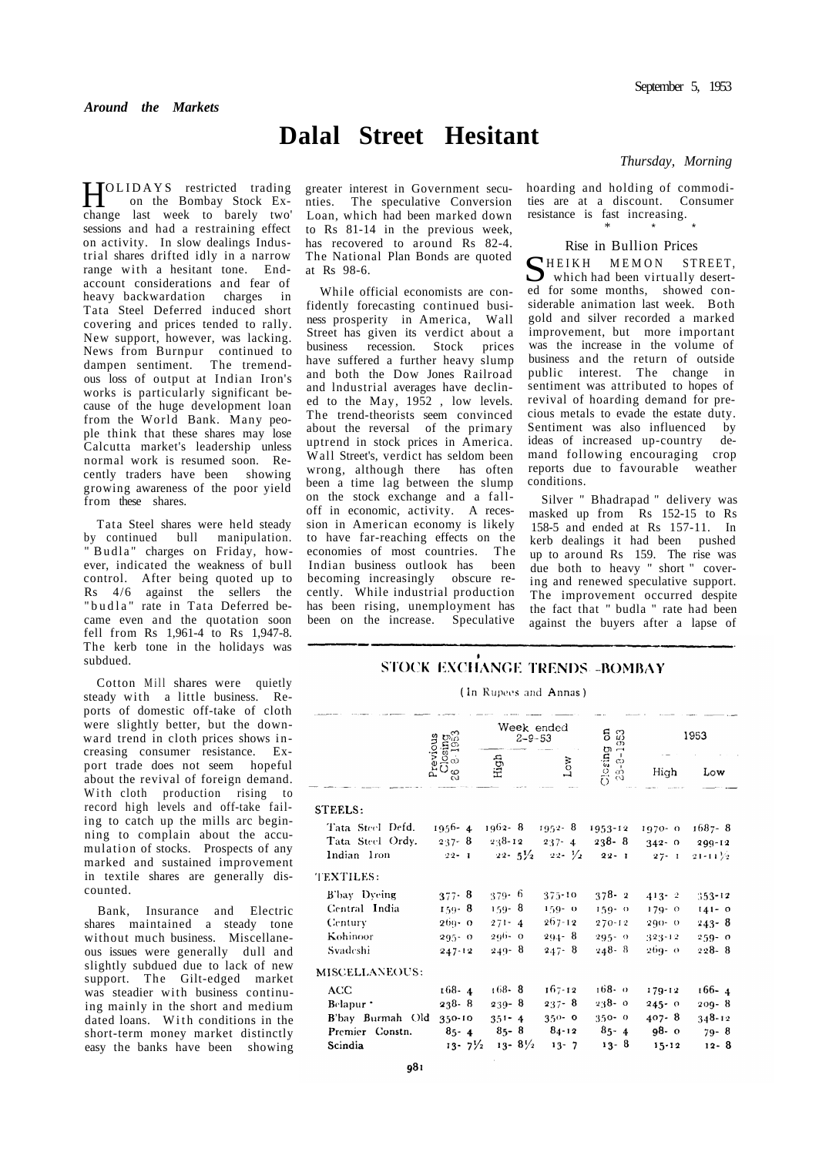# **Dalal Street Hesitant**

**HOLIDAYS** restricted trading<br>on the Bombay Stock Exon the Bombay Stock Exchange last week to barely two' sessions and had a restraining effect on activity. In slow dealings Industrial shares drifted idly in a narrow range with a hesitant tone. Endaccount considerations and fear of heavy backwardation charges in Tata Steel Deferred induced short covering and prices tended to rally. New support, however, was lacking. News from Burnpur continued to dampen sentiment. The tremendous loss of output at Indian Iron's works is particularly significant because of the huge development loan from the World Bank. Many people think that these shares may lose Calcutta market's leadership unless normal work is resumed soon. Recently traders have been showing growing awareness of the poor yield from these shares.

Tata Steel shares were held steady by continued bull manipulation. " Budla" charges on Friday, however, indicated the weakness of bull control. After being quoted up to Rs 4/6 against the sellers the "budla" rate in Tata Deferred became even and the quotation soon fell from Rs 1,961-4 to Rs 1,947-8. The kerb tone in the holidays was subdued.

Cotton Mill shares were quietly steady with a little business. Reports of domestic off-take of cloth were slightly better, but the downward trend in cloth prices shows in creasing consumer resistance. Export trade does not seem hopeful about the revival of foreign demand. With cloth production rising to record high levels and off-take failing to catch up the mills arc beginning to complain about the accumulation of stocks. Prospects of any marked and sustained improvement in textile shares are generally discounted.

Bank, Insurance and Electric shares maintained a steady tone without much business. Miscellaneous issues were generally dull and slightly subdued due to lack of new support. The Gilt-edged market was steadier with business continuing mainly in the short and medium dated loans. With conditions in the short-term money market distinctly easy the banks have been showing greater interest in Government secunties. The speculative Conversion Loan, which had been marked down to Rs 81-14 in the previous week, has recovered to around Rs 82-4. The National Plan Bonds are quoted at Rs 98-6.

While official economists are confidently forecasting continued business prosperity in America, Wall Street has given its verdict about a business recession. Stock prices have suffered a further heavy slump and both the Dow Jones Railroad and lndustrial averages have declined to the May, 1952 , low levels. The trend-theorists seem convinced about the reversal of the primary uptrend in stock prices in America. Wall Street's, verdict has seldom been wrong, although there has often been a time lag between the slump on the stock exchange and a falloff in economic, activity. A recession in American economy is likely to have far-reaching effects on the economies of most countries. The Indian business outlook has been becoming increasingly obscure recently. While industrial production has been rising, unemployment has been on the increase. Speculative

#### *Thursday, Morning*

[hoard](http://ho.it)ing and holding of commodities are at a discount. Consumer resistance is fast increasing. \* \* \*

#### Rise in Bullion Prices

SHEIKH MEMON STREET, which had been virtually deserted for some months, showed considerable animation last week. Both gold and silver recorded a marked improvement, but more important was the increase in the volume of business and the return of outside public interest. The change in sentiment was attributed to hopes of revival of hoarding demand for precious metals to evade the estate duty. Sentiment was also influenced by ideas of increased up-country demand following encouraging crop reports due to favourable weather conditions.

Silver " Bhadrapad " delivery was masked up from Rs 152-15 to Rs 158-5 and ended at Rs 157-11. In kerb dealings it had been pushed up to around Rs 159. The rise was due both to heavy " short " covering and renewed speculative support. The improvement occurred despite the fact that " budla " rate had been against the buyers after a lapse of

## STOCK EXCHANGE TRENDS -BOMBAY

(In Rupees and Annas)

| ್ರದಿ<br>Previous<br>$\frac{5}{3}$<br>$\circ$<br>నె | Week ended<br>$2 - 9 - 53$ |                     | ទី ឆ<br>ω                                                       | 1953                                                   |                      |
|----------------------------------------------------|----------------------------|---------------------|-----------------------------------------------------------------|--------------------------------------------------------|----------------------|
|                                                    | High                       | <b>Nort</b>         |                                                                 | High                                                   | Low                  |
|                                                    |                            |                     |                                                                 |                                                        |                      |
| $1956 - 4$                                         |                            |                     |                                                                 |                                                        | $1687 - 8$           |
| $-237 - 8$                                         | $238 - 12$                 | $237 - 4$           | $238 - 8$                                                       | $342 - 0$                                              | $200 - 12$           |
| $22 - 1$                                           |                            |                     |                                                                 | $27 - 1$                                               | $21 - 11\frac{1}{2}$ |
|                                                    |                            |                     |                                                                 |                                                        |                      |
| $377 - 8$                                          | 379-6                      | 375-10              | $378 - 2$                                                       | $413 - 2$                                              | $353 - 12$           |
| $159 - 8$                                          | $159 - 8$                  | $159 - 0$           | $159 - 0$                                                       | $179 - 0$                                              | $141 - 0$            |
| $209 - 0$                                          | $271 - 4$                  | 267-12              | $270 - 12$                                                      | $290 - 0$                                              | $243 - 8$            |
| $295 - 0$                                          | $296 - 0$                  | $291 - 8$           | $295 - 0$                                                       | 323-12                                                 | $259 - 0$            |
| $247 - 12$                                         | $249 - 8$                  | $247 - 8$           | $248 - 8$                                                       | 269-0                                                  | $228 - 8$            |
|                                                    |                            |                     |                                                                 |                                                        |                      |
| $168 - 4$                                          | $168 - 8$                  | 167-12              | 168-0                                                           | $179 - 12$                                             | $166 - 4$            |
| 238-8                                              | $239 - 8$                  | $237 - 8$           | $238 - 0$                                                       | $245 - 0$                                              | $209 - 8$            |
| 350-10<br>B'bay Burmah Old                         | $351 - 4$                  | $350 - 0$           | $350 - 0$                                                       | $407 - 8$                                              | $348 - 12$           |
| $85 - 4$                                           | $85 - 8$                   | 84-12               | $85 - 4$                                                        | $98 - 0$                                               | $79 - 8$             |
|                                                    | $13 - 8\frac{1}{2}$        | $13 - 7$            | $13 - 8$                                                        | $15 - 12$                                              | $12 - 8$             |
|                                                    |                            | $13 - 7\frac{1}{2}$ | $1962 - 8$ $1952 - 8$<br>$22 - 5\frac{1}{2}$ $22 - \frac{1}{2}$ | $C$ lesing<br>$28 - 8 - 18$<br>$1953 - 12$<br>$22 - 1$ | $1970 - 0$           |